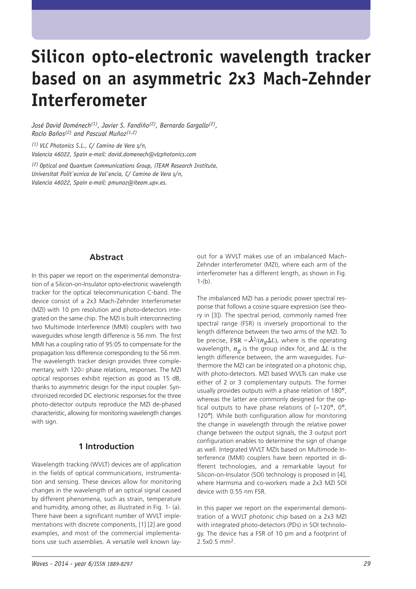# **Silicon opto-electronic wavelength tracker based on an asymmetric 2x3 Mach-Zehnder Interferometer**

*José David Doménech(1), Javier S. Fandiño(2), Bernardo Gargallo(2), Rocío Baños(2) and Pascual Muñoz(1,2)*

*(1) VLC Photonics S.L., C/ Camino de Vera s/n, Valencia 46022, Spain e-mail: david.domenech@vlcphotonics.com*

*(2) Optical and Quantum Communications Group, iTEAM Research Institute, Universitat Polit`ecnica de Val`encia, C/ Camino de Vera s/n, Valencia 46022, Spain e-mail: pmunoz@iteam.upv.es.*

### **Abstract**

In this paper we report on the experimental demonstration of a Silicon-on-Insulator opto-electronic wavelength tracker for the optical telecommunication C-band. The device consist of a 2x3 Mach-Zehnder Interferometer (MZI) with 10 pm resolution and photo-detectors integrated on the same chip. The MZI is built interconnecting two Multimode Interference (MMI) couplers with two waveguides whose length difference is 56 mm. The first MMI has a coupling ratio of 95:05 to compensate for the propagation loss difference corresponding to the 56 mm. The wavelength tracker design provides three complementary, with 120◦ phase relations, responses. The MZI optical responses exhibit rejection as good as 15 dB, thanks to asymmetric design for the input coupler. Synchronized recorded DC electronic responses for the three photo-detector outputs reproduce the MZI de-phased characteristic, allowing for monitoring wavelength changes with sign.

### **1 Introduction**

Wavelength tracking (WVLT) devices are of application in the fields of optical communications, instrumentation and sensing. These devices allow for monitoring changes in the wavelength of an optical signal caused by different phenomena, such as strain, temperature and humidity, among other, as illustrated in Fig. 1- (a). There have been a significant number of WVLT implementations with discrete components, [1] [2] are good examples, and most of the commercial implementations use such assemblies. A versatile well known layout for a WVLT makes use of an imbalanced Mach-Zehnder interferometer (MZI), where each arm of the interferometer has a different length, as shown in Fig.  $1-(b)$ .

The imbalanced MZI has a periodic power spectral response that follows a cosine square expression (see theory in [3]). The spectral period, commonly named free spectral range (FSR) is inversely proportional to the length difference between the two arms of the MZI. To<br>be arecise.  $EB = \lambda^2/(n \Delta L)$ , where is the aperating be precise, FSR =  $\lambda^{2}/(n_{g}\Delta L)$ , where is the operating<br>wavelength  $n_{\gamma}$  is the group index for and  $\Delta L$  is the wavelength,  $n_g$  is the group index for, and  $\Delta L$  is the<br>Jength difference between, the arm wavequides. Furlength difference between, the arm waveguides. Furthermore the MZI can be integrated on a photonic chip, with photo-detectors. MZI based WVLTs can make use either of 2 or 3 complementary outputs. The former usually provides outputs with a phase relation of 180º, whereas the latter are commonly designed for the optical outputs to have phase relations of {−120º, 0º, 120º}. While both configuration allow for monitoring the change in wavelength through the relative power change between the output signals, the 3 output port configuration enables to determine the sign of change as well. Integrated WVLT MZIs based on Multimode Interference (MMI) couplers have been reported in different technologies, and a remarkable layout for Silicon-on-Insulator (SOI) technology is proposed in [4], where Harmsma and co-workers made a 2x3 MZI SOI device with 0.55 nm FSR.

In this paper we report on the experimental demonstration of a WVLT photonic chip based on a 2x3 MZI with integrated photo-detectors (PDs) in SOI technology. The device has a FSR of 10 pm and a footprint of 2.5x0.5 mm2.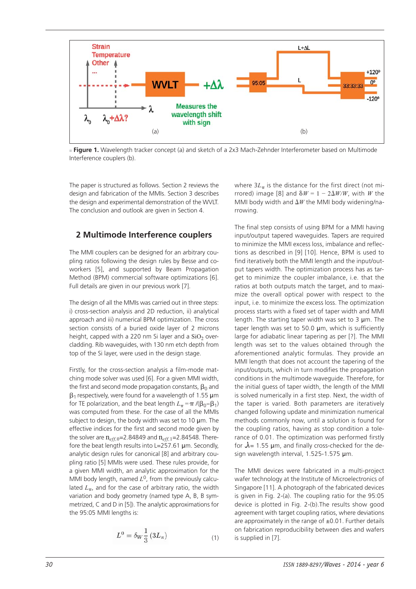

**Figure 1.** Wavelength tracker concept (a) and sketch of a 2x3 Mach-Zehnder Interferometer based on Multimode Interference couplers (b).

The paper is structured as follows. Section 2 reviews the design and fabrication of the MMIs. Section 3 describes the design and experimental demonstration of the WVLT. The conclusion and outlook are given in Section 4.

#### **2 Multimode Interference couplers**

The MMI couplers can be designed for an arbitrary coupling ratios following the design rules by Besse and coworkers [5], and supported by Beam Propagation Method (BPM) commercial software optimizations [6]. Full details are given in our previous work [7].

The design of all the MMIs was carried out in three steps: i) cross-section analysis and 2D reduction, ii) analytical approach and iii) numerical BPM optimization. The cross section consists of a buried oxide layer of 2 microns height, capped with a 220 nm Si layer and a  $SiO<sub>2</sub>$  overcladding. Rib waveguides, with 130 nm etch depth from top of the Si layer, were used in the design stage.

Firstly, for the cross-section analysis a film-mode matching mode solver was used [6]. For a given MMI width, the first and second mode propagation constants,  $\beta_0$  and  $\beta_1$  respectively, were found for a wavelength of 1.55  $\mu$ m for TE polarization, and the beat length  $L_{\pi} = \pi /(\beta_0 - \beta_1)$ was computed from these. For the case of all the MMIs subject to design, the body width was set to 10  $\mu$ m. The effective indices for the first and second mode given by the solver are  $n_{eff,0}$ =2.84849 and  $n_{eff,1}$ =2.84548. Therefore the beat length results into L=257.61 µm. Secondly, analytic design rules for canonical [8] and arbitrary coupling ratio [5] MMIs were used. These rules provide, for a given MMI width, an analytic approximation for the MMI body length, named  $L^0$ , from the previously calculated  $L_{\pi}$ , and for the case of arbitrary ratio, the width variation and body geometry (named type A, B, B symmetrized, C and D in [5]). The analytic approximations for the 95:05 MMI lengths is:

$$
L^0 = \delta_W \frac{1}{3} \left( 3L_\pi \right) \tag{1}
$$

where  $3L_{\pi}$  is the distance for the first direct (not mirrored) image [8] and  $\delta W = 1 - 2\Delta W/W$ , with *W* the MMI body width and  $\Delta W$  the MMI body widening/na-<br>*rrowing* rrowing.

The final step consists of using BPM for a MMI having input/output tapered waveguides. Tapers are required to minimize the MMI excess loss, imbalance and reflections as described in [9] [10]. Hence, BPM is used to find iteratively both the MMI length and the input/output tapers width. The optimization process has as target to minimize the coupler imbalance, i.e. that the ratios at both outputs match the target, and to maximize the overall optical power with respect to the input, i.e. to minimize the excess loss. The optimization process starts with a fixed set of taper width and MMI length. The starting taper width was set to  $3 \mu$ m. The taper length was set to 50.0 µm, which is sufficiently large for adiabatic linear tapering as per [?]. The MMI length was set to the values obtained through the aforementioned analytic formulas. They provide an MMI length that does not account the tapering of the input/outputs, which in turn modifies the propagation conditions in the multimode waveguide. Therefore, for the initial guess of taper width, the length of the MMI is solved numerically in a first step. Next, the width of the taper is varied. Both parameters are iteratively changed following update and minimization numerical methods commonly now, until a solution is found for the coupling ratios, having as stop condition a tolerance of 0.01. The optimization was performed firstly<br>for  $\lambda = 1.55$  um, and finally cross chacked for the dofor  $\lambda$  = 1.55 µm, and finally cross-checked for the design wavelength interval, 1.525-1.575 µm.

The MMI devices were fabricated in a multi-project wafer technology at the Institute of Microelectronics of Singapore [11]. A photograph of the fabricated devices is given in Fig. 2-(a). The coupling ratio for the 95:05 device is plotted in Fig. 2-(b).The results show good agreement with target coupling ratios, where deviations are approximately in the range of  $\pm 0.01$ . Further details on fabrication reproducibility between dies and wafers is supplied in [7].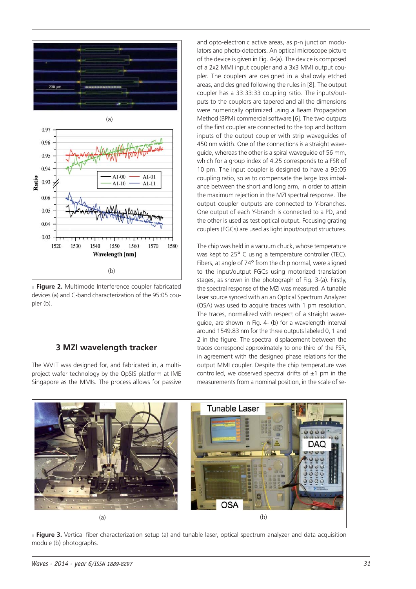

**Figure 2.** Multimode Interference coupler fabricated devices (a) and C-band characterization of the 95:05 coupler (b).

#### **3 MZI wavelength tracker**

The WVLT was designed for, and fabricated in, a multiproject wafer technology by the OpSIS platform at IME Singapore as the MMIs. The process allows for passive and opto-electronic active areas, as p-n junction modulators and photo-detectors. An optical microscope picture of the device is given in Fig. 4-(a). The device is composed of a 2x2 MMI input coupler and a 3x3 MMI output coupler. The couplers are designed in a shallowly etched areas, and designed following the rules in [8]. The output coupler has a 33:33:33 coupling ratio. The inputs/outputs to the couplers are tapered and all the dimensions were numerically optimized using a Beam Propagation Method (BPM) commercial software [6]. The two outputs of the first coupler are connected to the top and bottom inputs of the output coupler with strip waveguides of 450 nm width. One of the connections is a straight waveguide, whereas the other is a spiral waveguide of 56 mm, which for a group index of 4.25 corresponds to a FSR of 10 pm. The input coupler is designed to have a 95:05 coupling ratio, so as to compensate the large loss imbalance between the short and long arm, in order to attain the maximum rejection in the MZI spectral response. The output coupler outputs are connected to Y-branches. One output of each Y-branch is connected to a PD, and the other is used as test optical output. Focusing grating couplers (FGCs) are used as light input/output structures.

The chip was held in a vacuum chuck, whose temperature was kept to 25° C using a temperature controller (TEC). Fibers, at angle of 74º from the chip normal, were aligned to the input/output FGCs using motorized translation stages, as shown in the photograph of Fig. 3-(a). Firstly, the spectral response of the MZI was measured. A tunable laser source synced with an an Optical Spectrum Analyzer (OSA) was used to acquire traces with 1 pm resolution. The traces, normalized with respect of a straight waveguide, are shown in Fig. 4- (b) for a wavelength interval around 1549.83 nm for the three outputs labeled 0, 1 and 2 in the figure. The spectral displacement between the traces correspond approximately to one third of the FSR, in agreement with the designed phase relations for the output MMI coupler. Despite the chip temperature was controlled, we observed spectral drifts of  $\pm 1$  pm in the measurements from a nominal position, in the scale of se-



**Figure 3.** Vertical fiber characterization setup (a) and tunable laser, optical spectrum analyzer and data acquisition module (b) photographs.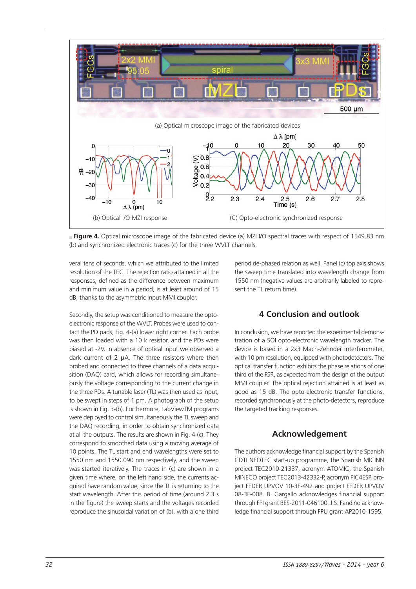

**Figure 4.** Optical microscope image of the fabricated device (a) MZI I/O spectral traces with respect of 1549.83 nm (b) and synchronized electronic traces (c) for the three WVLT channels.

veral tens of seconds, which we attributed to the limited resolution of the TEC. The rejection ratio attained in all the responses, defined as the difference between maximum and minimum value in a period, is at least around of 15 dB, thanks to the asymmetric input MMI coupler.

Secondly, the setup was conditioned to measure the optoelectronic response of the WVLT. Probes were used to contact the PD pads, Fig. 4-(a) lower right corner. Each probe was then loaded with a 10 k resistor, and the PDs were biased at -2V. In absence of optical input we observed a dark current of 2 µA. The three resistors where then probed and connected to three channels of a data acquisition (DAQ) card, which allows for recording simultaneously the voltage corresponding to the current change in the three PDs. A tunable laser (TL) was then used as input, to be swept in steps of 1 pm. A photograph of the setup is shown in Fig. 3-(b). Furthermore, LabViewTM programs were deployed to control simultaneously the TL sweep and the DAQ recording, in order to obtain synchronized data at all the outputs. The results are shown in Fig. 4-(c). They correspond to smoothed data using a moving average of 10 points. The TL start and end wavelengths were set to 1550 nm and 1550.090 nm respectively, and the sweep was started iteratively. The traces in (c) are shown in a given time where, on the left hand side, the currents acquired have random value, since the TL is returning to the start wavelength. After this period of time (around 2.3 s in the figure) the sweep starts and the voltages recorded reproduce the sinusoidal variation of (b), with a one third

period de-phased relation as well. Panel (c) top axis shows the sweep time translated into wavelength change from 1550 nm (negative values are arbitrarily labeled to represent the TL return time).

# **4 Conclusion and outlook**

In conclusion, we have reported the experimental demonstration of a SOI opto-electronic wavelength tracker. The device is based in a 2x3 Mach-Zehnder interferometer, with 10 pm resolution, equipped with photodetectors. The optical transfer function exhibits the phase relations of one third of the FSR, as expected from the design of the output MMI coupler. The optical rejection attained is at least as good as 15 dB. The opto-electronic transfer functions, recorded synchronously at the photo-detectors, reproduce the targeted tracking responses.

# **Acknowledgement**

The authors acknowledge financial support by the Spanish CDTI NEOTEC start-up programme, the Spanish MICINN project TEC2010-21337, acronym ATOMIC, the Spanish MINECO project TEC2013-42332-P, acronym PIC4ESP, project FEDER UPVOV 10-3E-492 and project FEDER UPVOV 08-3E-008. B. Gargallo acknowledges financial support through FPI grant BES-2011-046100. J.S. Fandiño acknowledge financial support through FPU grant AP2010-1595.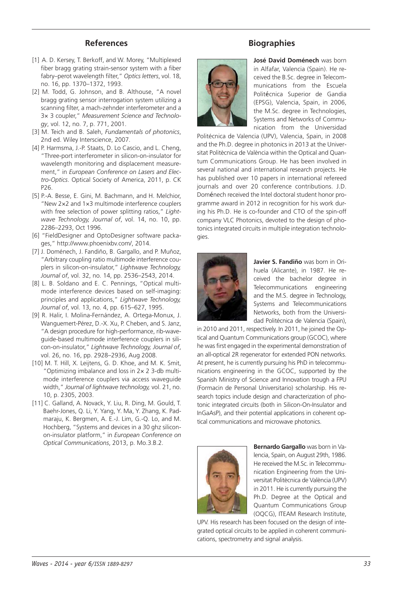## **References**

- [1] A. D. Kersey, T. Berkoff, and W. Morey, "Multiplexed fiber bragg grating strain-sensor system with a fiber fabry–perot wavelength filter," *Optics letters*, vol. 18, no. 16, pp. 1370–1372, 1993.
- [2] M. Todd, G. Johnson, and B. Althouse, "A novel bragg grating sensor interrogation system utilizing a scanning filter, a mach-zehnder interferometer and a 3× 3 coupler," *Measurement Science and Technolo gy*, vol. 12, no. 7, p. 771, 2001.
- [3] M. Teich and B. Saleh, *Fundamentals of photonics*, 2nd ed. Wiley Interscience, 2007.
- [4] P. Harmsma, J.-P. Staats, D. Lo Cascio, and L. Cheng, "Three-port interferometer in silicon-on-insulator for wavelength monitoring and displacement measurement," in *European Conference on Lasers and Electro-Optics*. Optical Society of America, 2011, p. CK P26.
- [5] P.-A. Besse, E. Gini, M. Bachmann, and H. Melchior, "New 2×2 and 1×3 multimode interference couplers with free selection of power splitting ratios," *Lightwave Technology, Journal of*, vol. 14, no. 10, pp. 2286–2293, Oct 1996.
- [6] "FieldDesigner and OptoDesigner software packages," http://www.phoenixbv.com/, 2014.
- [7] J. Doménech, J. Fandiño, B. Gargallo, and P. Muñoz, "Arbitrary coupling ratio multimode interference couplers in silicon-on-insulator," *Lightwave Technology, Journal of*, vol. 32, no. 14, pp. 2536–2543, 2014.
- [8] L. B. Soldano and E. C. Pennings, "Optical multimode interference devices based on self-imaging: principles and applications," *Lightwave Technology, Journal of*, vol. 13, no. 4, pp. 615–627, 1995.
- [9] R. Halir, I. Molina-Fernández, A. Ortega-Monux, J. Wanguemert-Pérez, D.-X. Xu, P. Cheben, and S. Janz, "A design procedure for high-performance, rib-waveguide-based multimode interference couplers in silicon-on-insulator," *Lightwave Technology, Journal of*, vol. 26, no. 16, pp. 2928–2936, Aug 2008.
- [10] M. T. Hill, X. Leijtens, G. D. Khoe, and M. K. Smit, "Optimizing imbalance and loss in 2× 2 3-db multimode interference couplers via access waveguide width," *Journal of lightwave technology,* vol. 21, no. 10, p. 2305, 2003.
- [11] C. Galland, A. Novack, Y. Liu, R. Ding, M. Gould, T. Baehr-Jones, Q. Li, Y. Yang, Y. Ma, Y. Zhang, K. Padmaraju, K. Bergmen, A. E.-J. Lim, G.-Q. Lo, and M. Hochberg, "Systems and devices in a 30 ghz siliconon-insulator platform," in *European Conference on Optical Communications*, 2013, p. Mo.3.B.2.

## **Biographies**



**José David Doménech** was born in Alfafar, Valencia (Spain). He received the B.Sc. degree in Telecommunications from the Escuela Politécnica Superior de Gandia (EPSG), Valencia, Spain, in 2006, the M.Sc. degree in Technologies, Systems and Networks of Communication from the Universidad

Politécnica de Valencia (UPV), Valencia, Spain, in 2008 and the Ph.D. degree in photonics in 2013 at the Universitat Politècnica de València within the Optical and Quantum Communications Group. He has been involved in several national and international research projects. He has published over 10 papers in international refereed journals and over 20 conference contributions. J.D. Doménech received the Intel doctoral student honor programme award in 2012 in recognition for his work during his Ph.D. He is co-founder and CTO of the spin-off company VLC Photonics, devoted to the design of photonics integrated circuits in multiple integration technologies.



**Javier S. Fandiño** was born in Orihuela (Alicante), in 1987. He received the bachelor degree in Telecommunications engineering and the M.S. degree in Technology, Systems and Telecommunications Networks, both from the Universidad Politécnica de Valencia (Spain),

in 2010 and 2011, respectively. In 2011, he joined the Optical and Quantum Communications group (GCOC), where he was first engaged in the experimental demonstration of an all-optical 2R regenerator for extended PON networks. At present, he is currently pursuing his PhD in telecommunications engineering in the GCOC, supported by the Spanish Ministry of Science and Innovation trough a FPU (Formacin de Personal Universitario) scholarship. His research topics include design and characterization of photonic integrated circuits (both in Silicon-On-Insulator and InGaAsP), and their potential applications in coherent optical communications and microwave photonics.



**Bernardo Gargallo** was born in Valencia, Spain, on August 29th, 1986. He received the M.Sc. in Telecommunication Engineering from the Universitat Politècnica de València (UPV) in 2011. He is currently pursuing the Ph.D. Degree at the Optical and Quantum Communications Group (OQCG), ITEAM Research Institute,

UPV. His research has been focused on the design of integrated optical circuits to be applied in coherent communications, spectrometry and signal analysis.